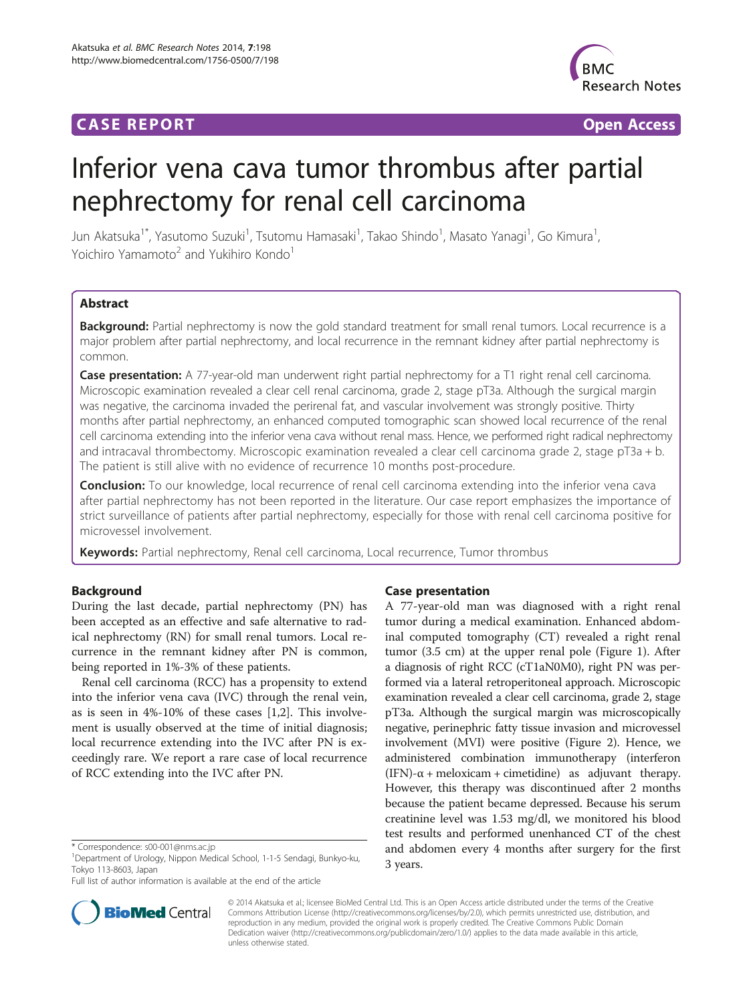## **CASE REPORT CASE REPORT CASE ACCESS**



# Inferior vena cava tumor thrombus after partial nephrectomy for renal cell carcinoma

Jun Akatsuka<sup>1\*</sup>, Yasutomo Suzuki<sup>1</sup>, Tsutomu Hamasaki<sup>1</sup>, Takao Shindo<sup>1</sup>, Masato Yanagi<sup>1</sup>, Go Kimura<sup>1</sup> , Yoichiro Yamamoto<sup>2</sup> and Yukihiro Kondo<sup>1</sup>

## Abstract

Background: Partial nephrectomy is now the gold standard treatment for small renal tumors. Local recurrence is a major problem after partial nephrectomy, and local recurrence in the remnant kidney after partial nephrectomy is common.

Case presentation: A 77-year-old man underwent right partial nephrectomy for a T1 right renal cell carcinoma. Microscopic examination revealed a clear cell renal carcinoma, grade 2, stage pT3a. Although the surgical margin was negative, the carcinoma invaded the perirenal fat, and vascular involvement was strongly positive. Thirty months after partial nephrectomy, an enhanced computed tomographic scan showed local recurrence of the renal cell carcinoma extending into the inferior vena cava without renal mass. Hence, we performed right radical nephrectomy and intracaval thrombectomy. Microscopic examination revealed a clear cell carcinoma grade 2, stage pT3a + b. The patient is still alive with no evidence of recurrence 10 months post-procedure.

Conclusion: To our knowledge, local recurrence of renal cell carcinoma extending into the inferior vena cava after partial nephrectomy has not been reported in the literature. Our case report emphasizes the importance of strict surveillance of patients after partial nephrectomy, especially for those with renal cell carcinoma positive for microvessel involvement.

Keywords: Partial nephrectomy, Renal cell carcinoma, Local recurrence, Tumor thrombus

## Background

During the last decade, partial nephrectomy (PN) has been accepted as an effective and safe alternative to radical nephrectomy (RN) for small renal tumors. Local recurrence in the remnant kidney after PN is common, being reported in 1%-3% of these patients.

Renal cell carcinoma (RCC) has a propensity to extend into the inferior vena cava (IVC) through the renal vein, as is seen in 4%-10% of these cases [[1](#page-3-0),[2](#page-3-0)]. This involvement is usually observed at the time of initial diagnosis; local recurrence extending into the IVC after PN is exceedingly rare. We report a rare case of local recurrence of RCC extending into the IVC after PN.

Full list of author information is available at the end of the article

## Case presentation

A 77-year-old man was diagnosed with a right renal tumor during a medical examination. Enhanced abdominal computed tomography (CT) revealed a right renal tumor (3.5 cm) at the upper renal pole (Figure [1\)](#page-1-0). After a diagnosis of right RCC (cT1aN0M0), right PN was performed via a lateral retroperitoneal approach. Microscopic examination revealed a clear cell carcinoma, grade 2, stage pT3a. Although the surgical margin was microscopically negative, perinephric fatty tissue invasion and microvessel involvement (MVI) were positive (Figure [2](#page-1-0)). Hence, we administered combination immunotherapy (interferon  $(IFN)$ - $\alpha$  + meloxicam + cimetidine) as adjuvant therapy. However, this therapy was discontinued after 2 months because the patient became depressed. Because his serum creatinine level was 1.53 mg/dl, we monitored his blood test results and performed unenhanced CT of the chest and abdomen every 4 months after surgery for the first 3 years.



© 2014 Akatsuka et al.; licensee BioMed Central Ltd. This is an Open Access article distributed under the terms of the Creative Commons Attribution License [\(http://creativecommons.org/licenses/by/2.0\)](http://creativecommons.org/licenses/by/2.0), which permits unrestricted use, distribution, and reproduction in any medium, provided the original work is properly credited. The Creative Commons Public Domain Dedication waiver [\(http://creativecommons.org/publicdomain/zero/1.0/](http://creativecommons.org/publicdomain/zero/1.0/)) applies to the data made available in this article, unless otherwise stated.

<sup>\*</sup> Correspondence: [s00-001@nms.ac.jp](mailto:s00-001@nms.ac.jp) <sup>1</sup>

Department of Urology, Nippon Medical School, 1-1-5 Sendagi, Bunkyo-ku, Tokyo 113-8603, Japan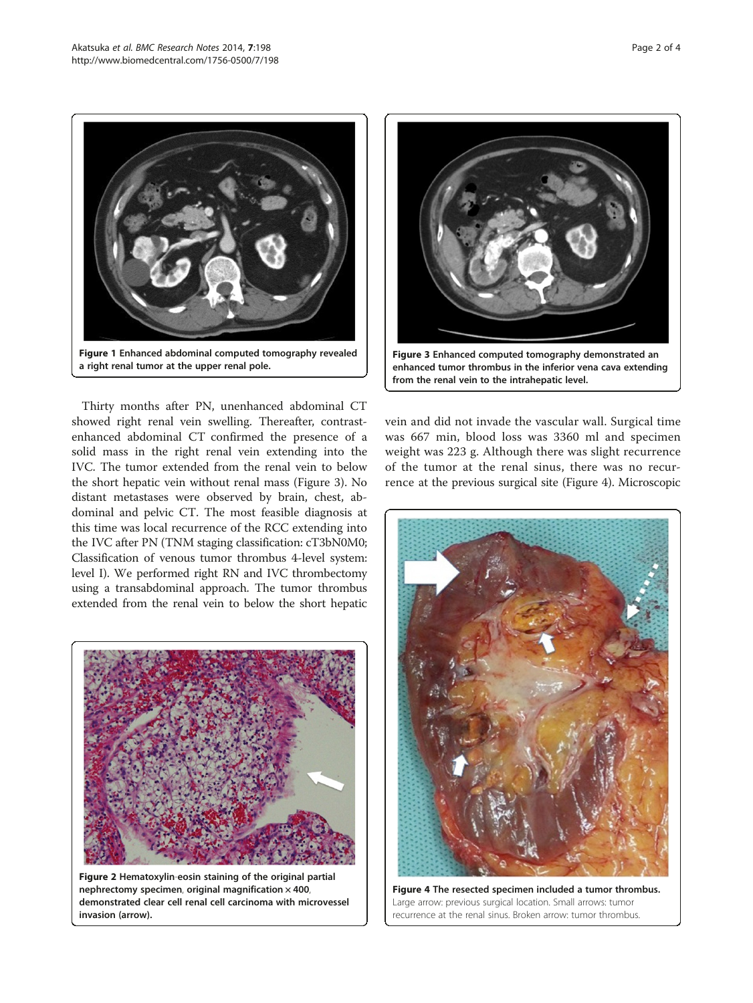<span id="page-1-0"></span>

Thirty months after PN, unenhanced abdominal CT showed right renal vein swelling. Thereafter, contrastenhanced abdominal CT confirmed the presence of a solid mass in the right renal vein extending into the IVC. The tumor extended from the renal vein to below the short hepatic vein without renal mass (Figure 3). No distant metastases were observed by brain, chest, abdominal and pelvic CT. The most feasible diagnosis at this time was local recurrence of the RCC extending into the IVC after PN (TNM staging classification: cT3bN0M0; Classification of venous tumor thrombus 4-level system: level I). We performed right RN and IVC thrombectomy using a transabdominal approach. The tumor thrombus extended from the renal vein to below the short hepatic



Figure 2 Hematoxylin-eosin staining of the original partial nephrectomy specimen, original magnification  $\times$  400, demonstrated clear cell renal cell carcinoma with microvessel invasion (arrow).



vein and did not invade the vascular wall. Surgical time was 667 min, blood loss was 3360 ml and specimen weight was 223 g. Although there was slight recurrence of the tumor at the renal sinus, there was no recurrence at the previous surgical site (Figure 4). Microscopic



Figure 4 The resected specimen included a tumor thrombus. Large arrow: previous surgical location. Small arrows: tumor recurrence at the renal sinus. Broken arrow: tumor thrombus.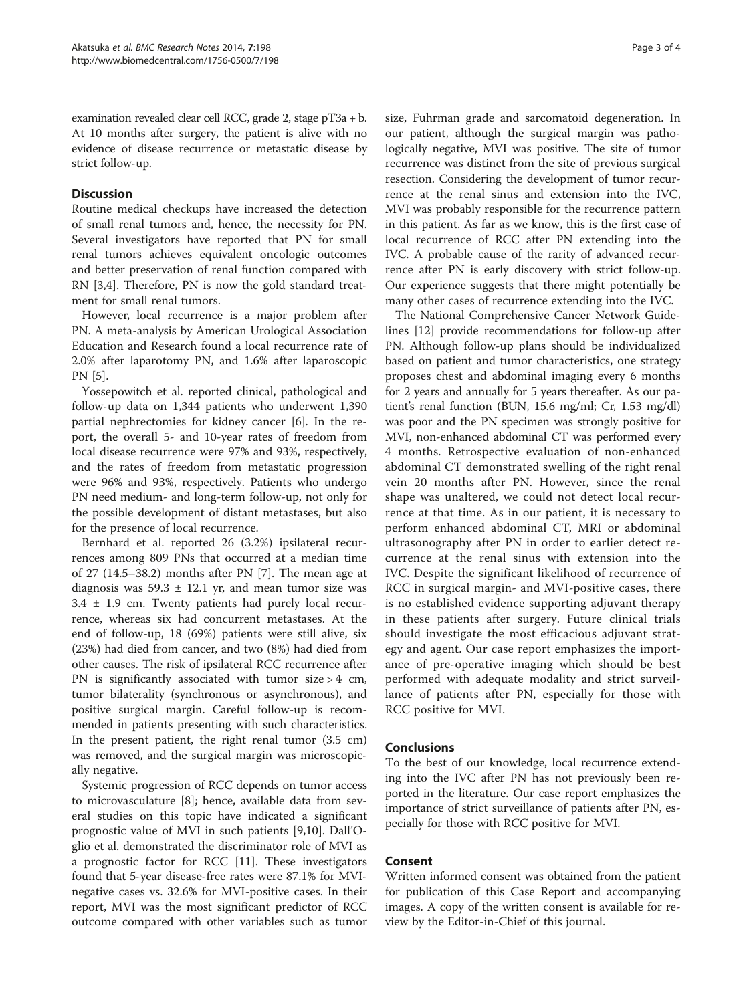examination revealed clear cell RCC, grade 2, stage pT3a + b. At 10 months after surgery, the patient is alive with no evidence of disease recurrence or metastatic disease by strict follow-up.

### **Discussion**

Routine medical checkups have increased the detection of small renal tumors and, hence, the necessity for PN. Several investigators have reported that PN for small renal tumors achieves equivalent oncologic outcomes and better preservation of renal function compared with RN [[3,4\]](#page-3-0). Therefore, PN is now the gold standard treatment for small renal tumors.

However, local recurrence is a major problem after PN. A meta-analysis by American Urological Association Education and Research found a local recurrence rate of 2.0% after laparotomy PN, and 1.6% after laparoscopic PN [[5\]](#page-3-0).

Yossepowitch et al. reported clinical, pathological and follow-up data on 1,344 patients who underwent 1,390 partial nephrectomies for kidney cancer [[6\]](#page-3-0). In the report, the overall 5- and 10-year rates of freedom from local disease recurrence were 97% and 93%, respectively, and the rates of freedom from metastatic progression were 96% and 93%, respectively. Patients who undergo PN need medium- and long-term follow-up, not only for the possible development of distant metastases, but also for the presence of local recurrence.

Bernhard et al. reported 26 (3.2%) ipsilateral recurrences among 809 PNs that occurred at a median time of 27 (14.5–38.2) months after PN [[7\]](#page-3-0). The mean age at diagnosis was  $59.3 \pm 12.1$  yr, and mean tumor size was 3.4 ± 1.9 cm. Twenty patients had purely local recurrence, whereas six had concurrent metastases. At the end of follow-up, 18 (69%) patients were still alive, six (23%) had died from cancer, and two (8%) had died from other causes. The risk of ipsilateral RCC recurrence after PN is significantly associated with tumor size > 4 cm, tumor bilaterality (synchronous or asynchronous), and positive surgical margin. Careful follow-up is recommended in patients presenting with such characteristics. In the present patient, the right renal tumor (3.5 cm) was removed, and the surgical margin was microscopically negative.

Systemic progression of RCC depends on tumor access to microvasculature [\[8\]](#page-3-0); hence, available data from several studies on this topic have indicated a significant prognostic value of MVI in such patients [[9,10\]](#page-3-0). Dall'Oglio et al. demonstrated the discriminator role of MVI as a prognostic factor for RCC [\[11\]](#page-3-0). These investigators found that 5-year disease-free rates were 87.1% for MVInegative cases vs. 32.6% for MVI-positive cases. In their report, MVI was the most significant predictor of RCC outcome compared with other variables such as tumor

size, Fuhrman grade and sarcomatoid degeneration. In our patient, although the surgical margin was pathologically negative, MVI was positive. The site of tumor recurrence was distinct from the site of previous surgical resection. Considering the development of tumor recurrence at the renal sinus and extension into the IVC, MVI was probably responsible for the recurrence pattern in this patient. As far as we know, this is the first case of local recurrence of RCC after PN extending into the IVC. A probable cause of the rarity of advanced recurrence after PN is early discovery with strict follow-up. Our experience suggests that there might potentially be many other cases of recurrence extending into the IVC.

The National Comprehensive Cancer Network Guidelines [[12\]](#page-3-0) provide recommendations for follow-up after PN. Although follow-up plans should be individualized based on patient and tumor characteristics, one strategy proposes chest and abdominal imaging every 6 months for 2 years and annually for 5 years thereafter. As our patient's renal function (BUN, 15.6 mg/ml; Cr, 1.53 mg/dl) was poor and the PN specimen was strongly positive for MVI, non-enhanced abdominal CT was performed every 4 months. Retrospective evaluation of non-enhanced abdominal CT demonstrated swelling of the right renal vein 20 months after PN. However, since the renal shape was unaltered, we could not detect local recurrence at that time. As in our patient, it is necessary to perform enhanced abdominal CT, MRI or abdominal ultrasonography after PN in order to earlier detect recurrence at the renal sinus with extension into the IVC. Despite the significant likelihood of recurrence of RCC in surgical margin- and MVI-positive cases, there is no established evidence supporting adjuvant therapy in these patients after surgery. Future clinical trials should investigate the most efficacious adjuvant strategy and agent. Our case report emphasizes the importance of pre-operative imaging which should be best performed with adequate modality and strict surveillance of patients after PN, especially for those with RCC positive for MVI.

## Conclusions

To the best of our knowledge, local recurrence extending into the IVC after PN has not previously been reported in the literature. Our case report emphasizes the importance of strict surveillance of patients after PN, especially for those with RCC positive for MVI.

## Consent

Written informed consent was obtained from the patient for publication of this Case Report and accompanying images. A copy of the written consent is available for review by the Editor-in-Chief of this journal.